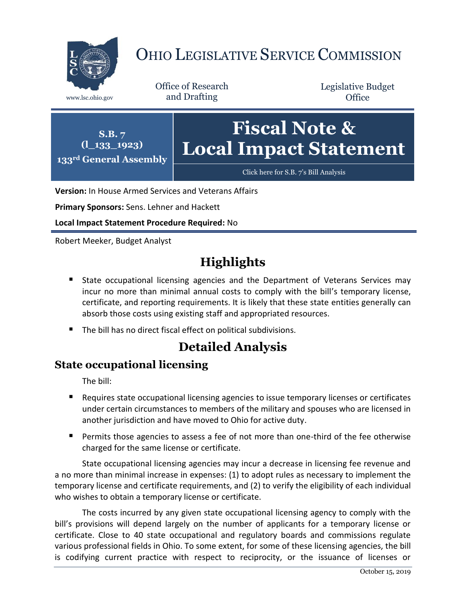

# OHIO LEGISLATIVE SERVICE COMMISSION

Office of Research www.lsc.ohio.gov and Drafting

Legislative Budget **Office** 



**Version:** In House Armed Services and Veterans Affairs

**Primary Sponsors:** Sens. Lehner and Hackett

**Local Impact Statement Procedure Required:** No

Robert Meeker, Budget Analyst

### **Highlights**

- **State occupational licensing agencies and the Department of Veterans Services may** incur no more than minimal annual costs to comply with the bill's temporary license, certificate, and reporting requirements. It is likely that these state entities generally can absorb those costs using existing staff and appropriated resources.
- The bill has no direct fiscal effect on political subdivisions.

### **Detailed Analysis**

#### **State occupational licensing**

The bill:

- Requires state occupational licensing agencies to issue temporary licenses or certificates under certain circumstances to members of the military and spouses who are licensed in another jurisdiction and have moved to Ohio for active duty.
- **Permits those agencies to assess a fee of not more than one-third of the fee otherwise** charged for the same license or certificate.

State occupational licensing agencies may incur a decrease in licensing fee revenue and a no more than minimal increase in expenses: (1) to adopt rules as necessary to implement the temporary license and certificate requirements, and (2) to verify the eligibility of each individual who wishes to obtain a temporary license or certificate.

The costs incurred by any given state occupational licensing agency to comply with the bill's provisions will depend largely on the number of applicants for a temporary license or certificate. Close to 40 state occupational and regulatory boards and commissions regulate various professional fields in Ohio. To some extent, for some of these licensing agencies, the bill is codifying current practice with respect to reciprocity, or the issuance of licenses or